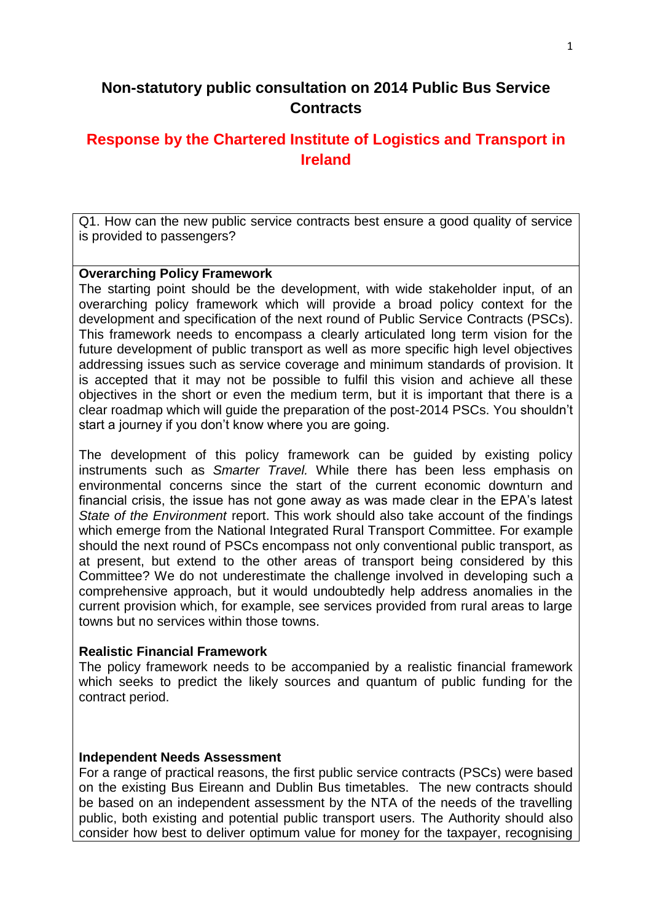# **Non-statutory public consultation on 2014 Public Bus Service Contracts**

# **Response by the Chartered Institute of Logistics and Transport in Ireland**

Q1. How can the new public service contracts best ensure a good quality of service is provided to passengers?

#### **Overarching Policy Framework**

The starting point should be the development, with wide stakeholder input, of an overarching policy framework which will provide a broad policy context for the development and specification of the next round of Public Service Contracts (PSCs). This framework needs to encompass a clearly articulated long term vision for the future development of public transport as well as more specific high level objectives addressing issues such as service coverage and minimum standards of provision. It is accepted that it may not be possible to fulfil this vision and achieve all these objectives in the short or even the medium term, but it is important that there is a clear roadmap which will guide the preparation of the post-2014 PSCs. You shouldn't start a journey if you don't know where you are going.

The development of this policy framework can be guided by existing policy instruments such as *Smarter Travel.* While there has been less emphasis on environmental concerns since the start of the current economic downturn and financial crisis, the issue has not gone away as was made clear in the EPA's latest *State of the Environment* report. This work should also take account of the findings which emerge from the National Integrated Rural Transport Committee. For example should the next round of PSCs encompass not only conventional public transport, as at present, but extend to the other areas of transport being considered by this Committee? We do not underestimate the challenge involved in developing such a comprehensive approach, but it would undoubtedly help address anomalies in the current provision which, for example, see services provided from rural areas to large towns but no services within those towns.

#### **Realistic Financial Framework**

The policy framework needs to be accompanied by a realistic financial framework which seeks to predict the likely sources and quantum of public funding for the contract period.

### **Independent Needs Assessment**

For a range of practical reasons, the first public service contracts (PSCs) were based on the existing Bus Eireann and Dublin Bus timetables. The new contracts should be based on an independent assessment by the NTA of the needs of the travelling public, both existing and potential public transport users. The Authority should also consider how best to deliver optimum value for money for the taxpayer, recognising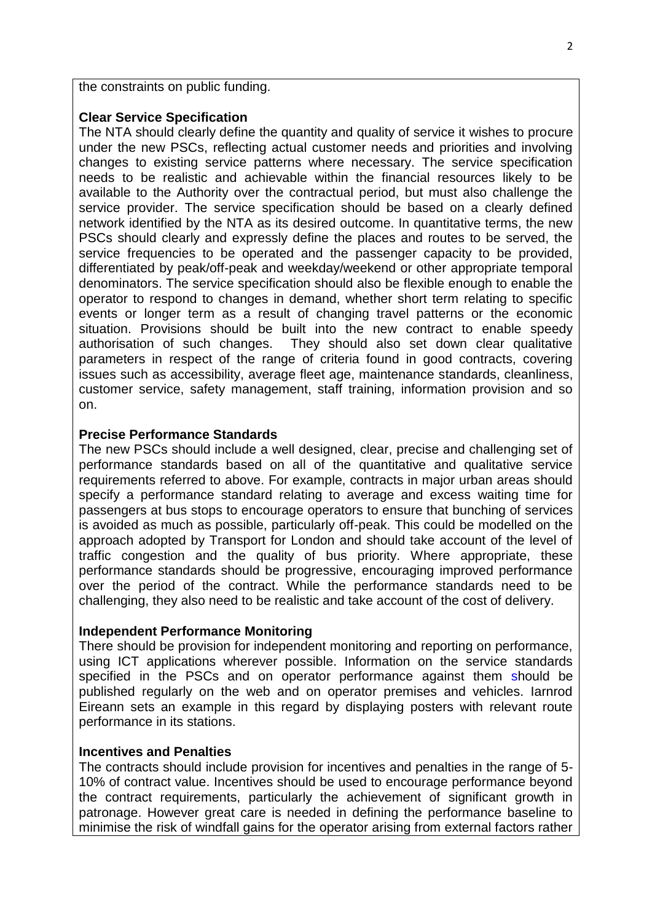the constraints on public funding.

#### **Clear Service Specification**

The NTA should clearly define the quantity and quality of service it wishes to procure under the new PSCs, reflecting actual customer needs and priorities and involving changes to existing service patterns where necessary. The service specification needs to be realistic and achievable within the financial resources likely to be available to the Authority over the contractual period, but must also challenge the service provider. The service specification should be based on a clearly defined network identified by the NTA as its desired outcome. In quantitative terms, the new PSCs should clearly and expressly define the places and routes to be served, the service frequencies to be operated and the passenger capacity to be provided, differentiated by peak/off-peak and weekday/weekend or other appropriate temporal denominators. The service specification should also be flexible enough to enable the operator to respond to changes in demand, whether short term relating to specific events or longer term as a result of changing travel patterns or the economic situation. Provisions should be built into the new contract to enable speedy authorisation of such changes. They should also set down clear qualitative parameters in respect of the range of criteria found in good contracts, covering issues such as accessibility, average fleet age, maintenance standards, cleanliness, customer service, safety management, staff training, information provision and so on.

#### **Precise Performance Standards**

The new PSCs should include a well designed, clear, precise and challenging set of performance standards based on all of the quantitative and qualitative service requirements referred to above. For example, contracts in major urban areas should specify a performance standard relating to average and excess waiting time for passengers at bus stops to encourage operators to ensure that bunching of services is avoided as much as possible, particularly off-peak. This could be modelled on the approach adopted by Transport for London and should take account of the level of traffic congestion and the quality of bus priority. Where appropriate, these performance standards should be progressive, encouraging improved performance over the period of the contract. While the performance standards need to be challenging, they also need to be realistic and take account of the cost of delivery.

#### **Independent Performance Monitoring**

There should be provision for independent monitoring and reporting on performance, using ICT applications wherever possible. Information on the service standards specified in the PSCs and on operator performance against them should be published regularly on the web and on operator premises and vehicles. Iarnrod Eireann sets an example in this regard by displaying posters with relevant route performance in its stations.

#### **Incentives and Penalties**

The contracts should include provision for incentives and penalties in the range of 5- 10% of contract value. Incentives should be used to encourage performance beyond the contract requirements, particularly the achievement of significant growth in patronage. However great care is needed in defining the performance baseline to minimise the risk of windfall gains for the operator arising from external factors rather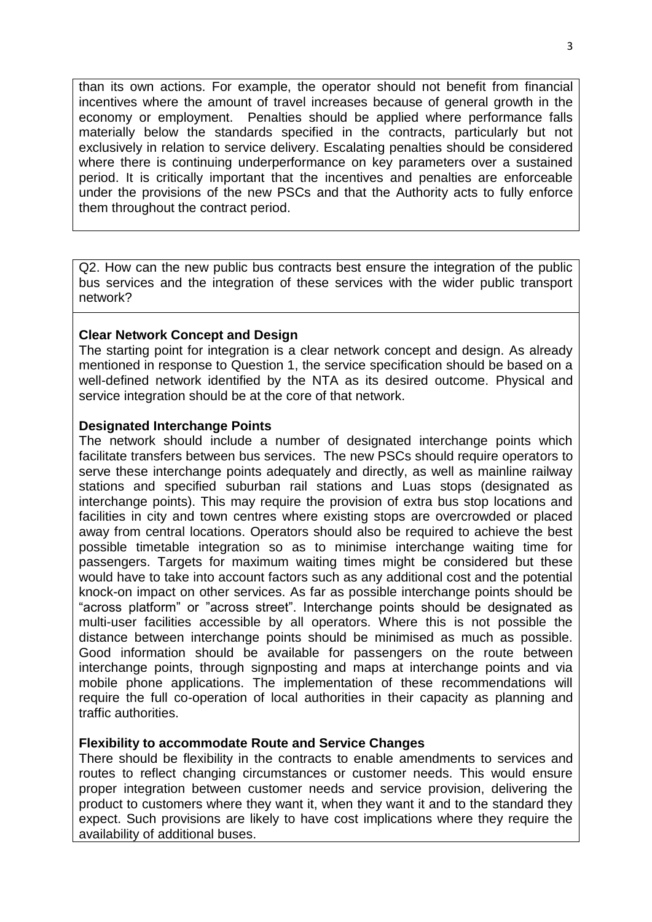than its own actions. For example, the operator should not benefit from financial incentives where the amount of travel increases because of general growth in the economy or employment. Penalties should be applied where performance falls materially below the standards specified in the contracts, particularly but not exclusively in relation to service delivery. Escalating penalties should be considered where there is continuing underperformance on key parameters over a sustained period. It is critically important that the incentives and penalties are enforceable under the provisions of the new PSCs and that the Authority acts to fully enforce them throughout the contract period.

Q2. How can the new public bus contracts best ensure the integration of the public bus services and the integration of these services with the wider public transport network?

### **Clear Network Concept and Design**

The starting point for integration is a clear network concept and design. As already mentioned in response to Question 1, the service specification should be based on a well-defined network identified by the NTA as its desired outcome. Physical and service integration should be at the core of that network.

#### **Designated Interchange Points**

The network should include a number of designated interchange points which facilitate transfers between bus services. The new PSCs should require operators to serve these interchange points adequately and directly, as well as mainline railway stations and specified suburban rail stations and Luas stops (designated as interchange points). This may require the provision of extra bus stop locations and facilities in city and town centres where existing stops are overcrowded or placed away from central locations. Operators should also be required to achieve the best possible timetable integration so as to minimise interchange waiting time for passengers. Targets for maximum waiting times might be considered but these would have to take into account factors such as any additional cost and the potential knock-on impact on other services. As far as possible interchange points should be "across platform" or "across street". Interchange points should be designated as multi-user facilities accessible by all operators. Where this is not possible the distance between interchange points should be minimised as much as possible. Good information should be available for passengers on the route between interchange points, through signposting and maps at interchange points and via mobile phone applications. The implementation of these recommendations will require the full co-operation of local authorities in their capacity as planning and traffic authorities.

### **Flexibility to accommodate Route and Service Changes**

There should be flexibility in the contracts to enable amendments to services and routes to reflect changing circumstances or customer needs. This would ensure proper integration between customer needs and service provision, delivering the product to customers where they want it, when they want it and to the standard they expect. Such provisions are likely to have cost implications where they require the availability of additional buses.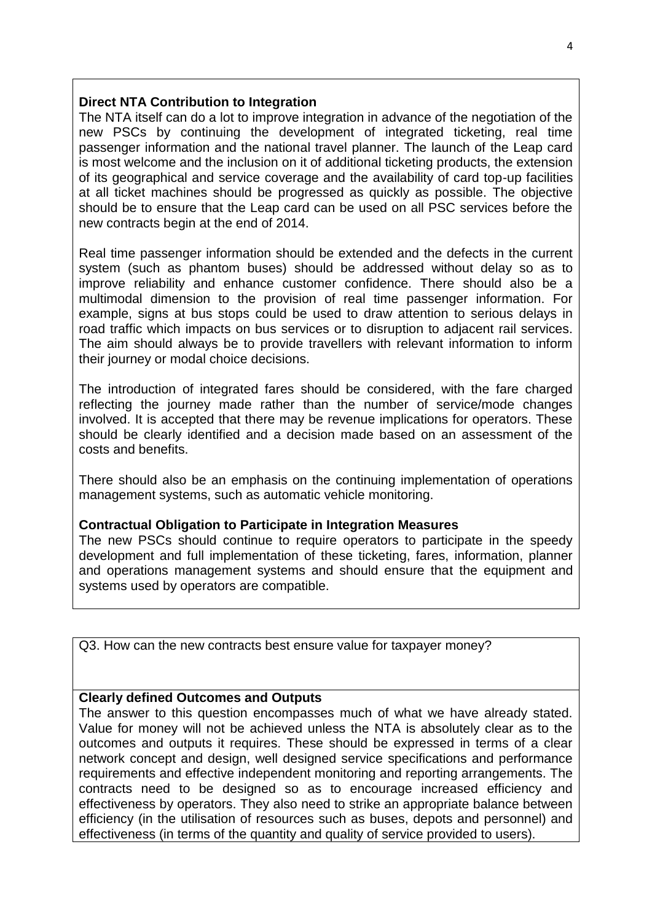### **Direct NTA Contribution to Integration**

The NTA itself can do a lot to improve integration in advance of the negotiation of the new PSCs by continuing the development of integrated ticketing, real time passenger information and the national travel planner. The launch of the Leap card is most welcome and the inclusion on it of additional ticketing products, the extension of its geographical and service coverage and the availability of card top-up facilities at all ticket machines should be progressed as quickly as possible. The objective should be to ensure that the Leap card can be used on all PSC services before the new contracts begin at the end of 2014.

Real time passenger information should be extended and the defects in the current system (such as phantom buses) should be addressed without delay so as to improve reliability and enhance customer confidence. There should also be a multimodal dimension to the provision of real time passenger information. For example, signs at bus stops could be used to draw attention to serious delays in road traffic which impacts on bus services or to disruption to adjacent rail services. The aim should always be to provide travellers with relevant information to inform their journey or modal choice decisions.

The introduction of integrated fares should be considered, with the fare charged reflecting the journey made rather than the number of service/mode changes involved. It is accepted that there may be revenue implications for operators. These should be clearly identified and a decision made based on an assessment of the costs and benefits.

There should also be an emphasis on the continuing implementation of operations management systems, such as automatic vehicle monitoring.

### **Contractual Obligation to Participate in Integration Measures**

The new PSCs should continue to require operators to participate in the speedy development and full implementation of these ticketing, fares, information, planner and operations management systems and should ensure that the equipment and systems used by operators are compatible.

Q3. How can the new contracts best ensure value for taxpayer money?

### **Clearly defined Outcomes and Outputs**

The answer to this question encompasses much of what we have already stated. Value for money will not be achieved unless the NTA is absolutely clear as to the outcomes and outputs it requires. These should be expressed in terms of a clear network concept and design, well designed service specifications and performance requirements and effective independent monitoring and reporting arrangements. The contracts need to be designed so as to encourage increased efficiency and effectiveness by operators. They also need to strike an appropriate balance between efficiency (in the utilisation of resources such as buses, depots and personnel) and effectiveness (in terms of the quantity and quality of service provided to users).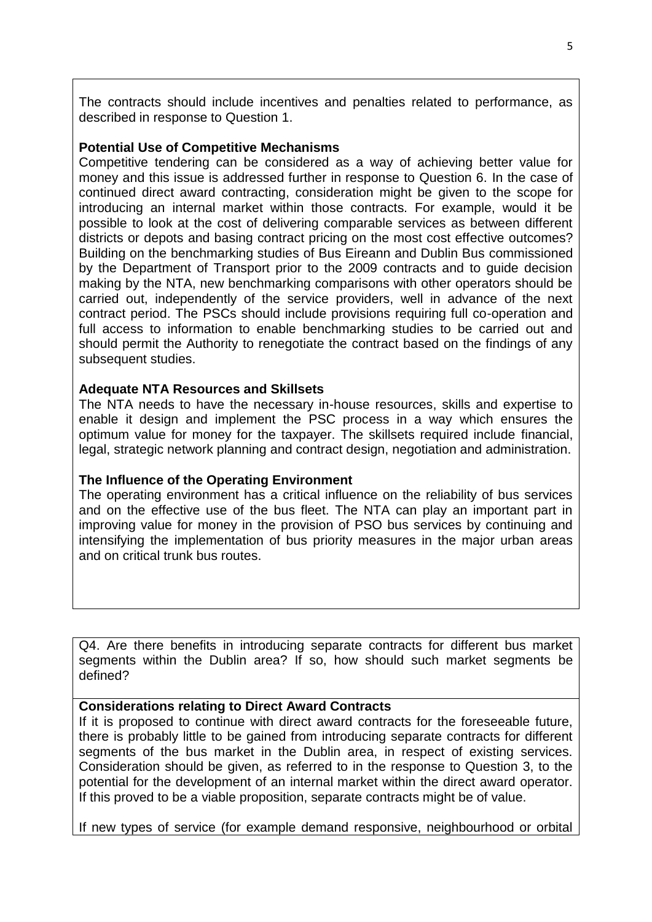The contracts should include incentives and penalties related to performance, as described in response to Question 1.

#### **Potential Use of Competitive Mechanisms**

Competitive tendering can be considered as a way of achieving better value for money and this issue is addressed further in response to Question 6. In the case of continued direct award contracting, consideration might be given to the scope for introducing an internal market within those contracts. For example, would it be possible to look at the cost of delivering comparable services as between different districts or depots and basing contract pricing on the most cost effective outcomes? Building on the benchmarking studies of Bus Eireann and Dublin Bus commissioned by the Department of Transport prior to the 2009 contracts and to guide decision making by the NTA, new benchmarking comparisons with other operators should be carried out, independently of the service providers, well in advance of the next contract period. The PSCs should include provisions requiring full co-operation and full access to information to enable benchmarking studies to be carried out and should permit the Authority to renegotiate the contract based on the findings of any subsequent studies.

#### **Adequate NTA Resources and Skillsets**

The NTA needs to have the necessary in-house resources, skills and expertise to enable it design and implement the PSC process in a way which ensures the optimum value for money for the taxpayer. The skillsets required include financial, legal, strategic network planning and contract design, negotiation and administration.

### **The Influence of the Operating Environment**

The operating environment has a critical influence on the reliability of bus services and on the effective use of the bus fleet. The NTA can play an important part in improving value for money in the provision of PSO bus services by continuing and intensifying the implementation of bus priority measures in the major urban areas and on critical trunk bus routes.

Q4. Are there benefits in introducing separate contracts for different bus market segments within the Dublin area? If so, how should such market segments be defined?

### **Considerations relating to Direct Award Contracts**

If it is proposed to continue with direct award contracts for the foreseeable future, there is probably little to be gained from introducing separate contracts for different segments of the bus market in the Dublin area, in respect of existing services. Consideration should be given, as referred to in the response to Question 3, to the potential for the development of an internal market within the direct award operator. If this proved to be a viable proposition, separate contracts might be of value.

If new types of service (for example demand responsive, neighbourhood or orbital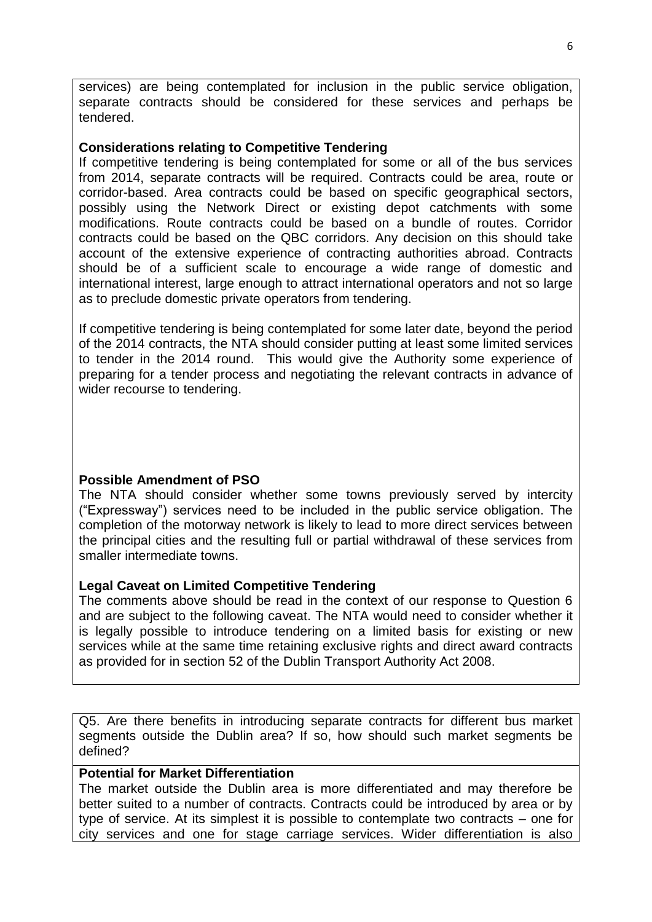services) are being contemplated for inclusion in the public service obligation, separate contracts should be considered for these services and perhaps be tendered.

#### **Considerations relating to Competitive Tendering**

If competitive tendering is being contemplated for some or all of the bus services from 2014, separate contracts will be required. Contracts could be area, route or corridor-based. Area contracts could be based on specific geographical sectors, possibly using the Network Direct or existing depot catchments with some modifications. Route contracts could be based on a bundle of routes. Corridor contracts could be based on the QBC corridors. Any decision on this should take account of the extensive experience of contracting authorities abroad. Contracts should be of a sufficient scale to encourage a wide range of domestic and international interest, large enough to attract international operators and not so large as to preclude domestic private operators from tendering.

If competitive tendering is being contemplated for some later date, beyond the period of the 2014 contracts, the NTA should consider putting at least some limited services to tender in the 2014 round. This would give the Authority some experience of preparing for a tender process and negotiating the relevant contracts in advance of wider recourse to tendering.

### **Possible Amendment of PSO**

The NTA should consider whether some towns previously served by intercity ("Expressway") services need to be included in the public service obligation. The completion of the motorway network is likely to lead to more direct services between the principal cities and the resulting full or partial withdrawal of these services from smaller intermediate towns.

### **Legal Caveat on Limited Competitive Tendering**

The comments above should be read in the context of our response to Question 6 and are subject to the following caveat. The NTA would need to consider whether it is legally possible to introduce tendering on a limited basis for existing or new services while at the same time retaining exclusive rights and direct award contracts as provided for in section 52 of the Dublin Transport Authority Act 2008.

Q5. Are there benefits in introducing separate contracts for different bus market segments outside the Dublin area? If so, how should such market segments be defined?

# **Potential for Market Differentiation**

The market outside the Dublin area is more differentiated and may therefore be better suited to a number of contracts. Contracts could be introduced by area or by type of service. At its simplest it is possible to contemplate two contracts – one for city services and one for stage carriage services. Wider differentiation is also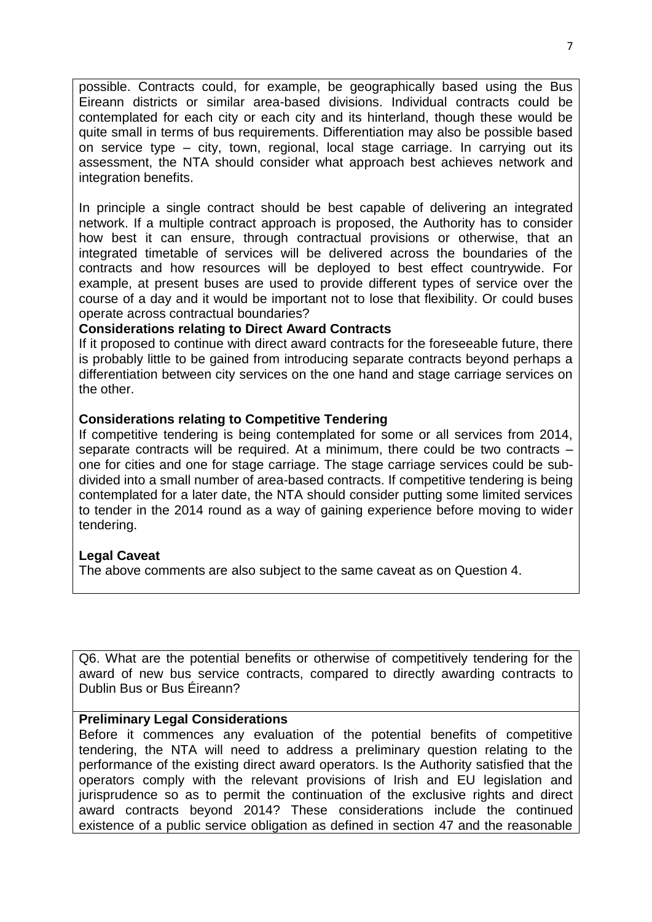possible. Contracts could, for example, be geographically based using the Bus Eireann districts or similar area-based divisions. Individual contracts could be contemplated for each city or each city and its hinterland, though these would be quite small in terms of bus requirements. Differentiation may also be possible based on service type – city, town, regional, local stage carriage. In carrying out its assessment, the NTA should consider what approach best achieves network and integration benefits.

In principle a single contract should be best capable of delivering an integrated network. If a multiple contract approach is proposed, the Authority has to consider how best it can ensure, through contractual provisions or otherwise, that an integrated timetable of services will be delivered across the boundaries of the contracts and how resources will be deployed to best effect countrywide. For example, at present buses are used to provide different types of service over the course of a day and it would be important not to lose that flexibility. Or could buses operate across contractual boundaries?

### **Considerations relating to Direct Award Contracts**

If it proposed to continue with direct award contracts for the foreseeable future, there is probably little to be gained from introducing separate contracts beyond perhaps a differentiation between city services on the one hand and stage carriage services on the other.

### **Considerations relating to Competitive Tendering**

If competitive tendering is being contemplated for some or all services from 2014, separate contracts will be required. At a minimum, there could be two contracts – one for cities and one for stage carriage. The stage carriage services could be subdivided into a small number of area-based contracts. If competitive tendering is being contemplated for a later date, the NTA should consider putting some limited services to tender in the 2014 round as a way of gaining experience before moving to wider tendering.

### **Legal Caveat**

The above comments are also subject to the same caveat as on Question 4.

Q6. What are the potential benefits or otherwise of competitively tendering for the award of new bus service contracts, compared to directly awarding contracts to Dublin Bus or Bus Éireann?

#### **Preliminary Legal Considerations**

Before it commences any evaluation of the potential benefits of competitive tendering, the NTA will need to address a preliminary question relating to the performance of the existing direct award operators. Is the Authority satisfied that the operators comply with the relevant provisions of Irish and EU legislation and jurisprudence so as to permit the continuation of the exclusive rights and direct award contracts beyond 2014? These considerations include the continued existence of a public service obligation as defined in section 47 and the reasonable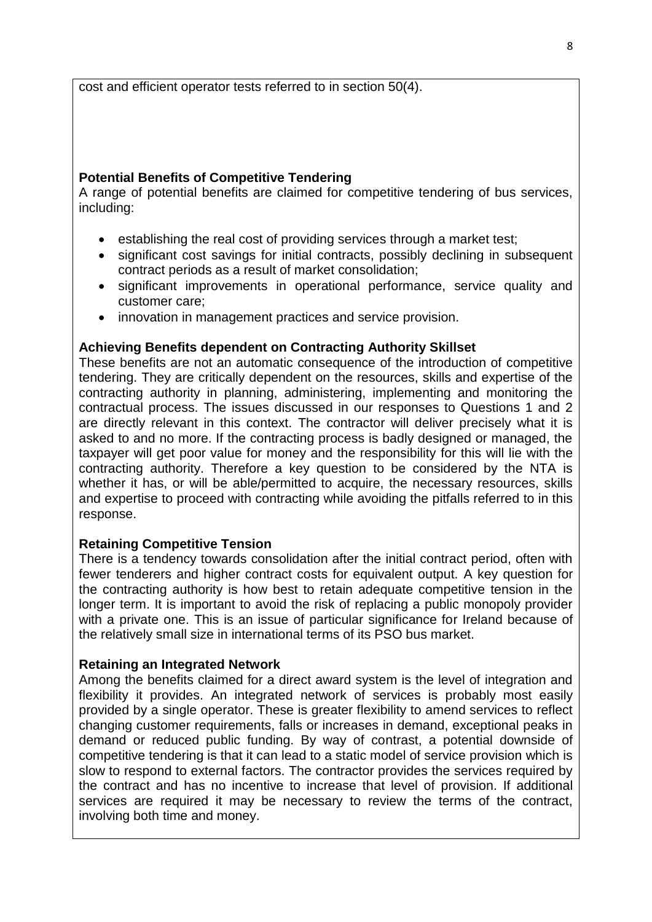cost and efficient operator tests referred to in section 50(4).

### **Potential Benefits of Competitive Tendering**

A range of potential benefits are claimed for competitive tendering of bus services, including:

- establishing the real cost of providing services through a market test;
- significant cost savings for initial contracts, possibly declining in subsequent contract periods as a result of market consolidation;
- significant improvements in operational performance, service quality and customer care;
- innovation in management practices and service provision.

## **Achieving Benefits dependent on Contracting Authority Skillset**

These benefits are not an automatic consequence of the introduction of competitive tendering. They are critically dependent on the resources, skills and expertise of the contracting authority in planning, administering, implementing and monitoring the contractual process. The issues discussed in our responses to Questions 1 and 2 are directly relevant in this context. The contractor will deliver precisely what it is asked to and no more. If the contracting process is badly designed or managed, the taxpayer will get poor value for money and the responsibility for this will lie with the contracting authority. Therefore a key question to be considered by the NTA is whether it has, or will be able/permitted to acquire, the necessary resources, skills and expertise to proceed with contracting while avoiding the pitfalls referred to in this response.

### **Retaining Competitive Tension**

There is a tendency towards consolidation after the initial contract period, often with fewer tenderers and higher contract costs for equivalent output. A key question for the contracting authority is how best to retain adequate competitive tension in the longer term. It is important to avoid the risk of replacing a public monopoly provider with a private one. This is an issue of particular significance for Ireland because of the relatively small size in international terms of its PSO bus market.

### **Retaining an Integrated Network**

Among the benefits claimed for a direct award system is the level of integration and flexibility it provides. An integrated network of services is probably most easily provided by a single operator. These is greater flexibility to amend services to reflect changing customer requirements, falls or increases in demand, exceptional peaks in demand or reduced public funding. By way of contrast, a potential downside of competitive tendering is that it can lead to a static model of service provision which is slow to respond to external factors. The contractor provides the services required by the contract and has no incentive to increase that level of provision. If additional services are required it may be necessary to review the terms of the contract, involving both time and money.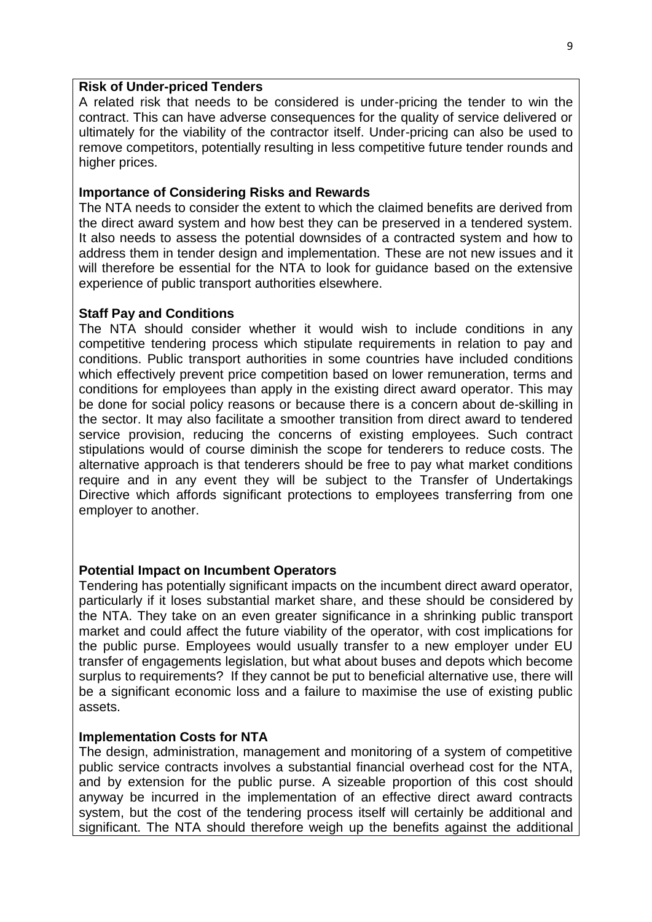#### **Risk of Under-priced Tenders**

A related risk that needs to be considered is under-pricing the tender to win the contract. This can have adverse consequences for the quality of service delivered or ultimately for the viability of the contractor itself. Under-pricing can also be used to remove competitors, potentially resulting in less competitive future tender rounds and higher prices.

#### **Importance of Considering Risks and Rewards**

The NTA needs to consider the extent to which the claimed benefits are derived from the direct award system and how best they can be preserved in a tendered system. It also needs to assess the potential downsides of a contracted system and how to address them in tender design and implementation. These are not new issues and it will therefore be essential for the NTA to look for guidance based on the extensive experience of public transport authorities elsewhere.

#### **Staff Pay and Conditions**

The NTA should consider whether it would wish to include conditions in any competitive tendering process which stipulate requirements in relation to pay and conditions. Public transport authorities in some countries have included conditions which effectively prevent price competition based on lower remuneration, terms and conditions for employees than apply in the existing direct award operator. This may be done for social policy reasons or because there is a concern about de-skilling in the sector. It may also facilitate a smoother transition from direct award to tendered service provision, reducing the concerns of existing employees. Such contract stipulations would of course diminish the scope for tenderers to reduce costs. The alternative approach is that tenderers should be free to pay what market conditions require and in any event they will be subject to the Transfer of Undertakings Directive which affords significant protections to employees transferring from one employer to another.

#### **Potential Impact on Incumbent Operators**

Tendering has potentially significant impacts on the incumbent direct award operator, particularly if it loses substantial market share, and these should be considered by the NTA. They take on an even greater significance in a shrinking public transport market and could affect the future viability of the operator, with cost implications for the public purse. Employees would usually transfer to a new employer under EU transfer of engagements legislation, but what about buses and depots which become surplus to requirements? If they cannot be put to beneficial alternative use, there will be a significant economic loss and a failure to maximise the use of existing public assets.

#### **Implementation Costs for NTA**

The design, administration, management and monitoring of a system of competitive public service contracts involves a substantial financial overhead cost for the NTA, and by extension for the public purse. A sizeable proportion of this cost should anyway be incurred in the implementation of an effective direct award contracts system, but the cost of the tendering process itself will certainly be additional and significant. The NTA should therefore weigh up the benefits against the additional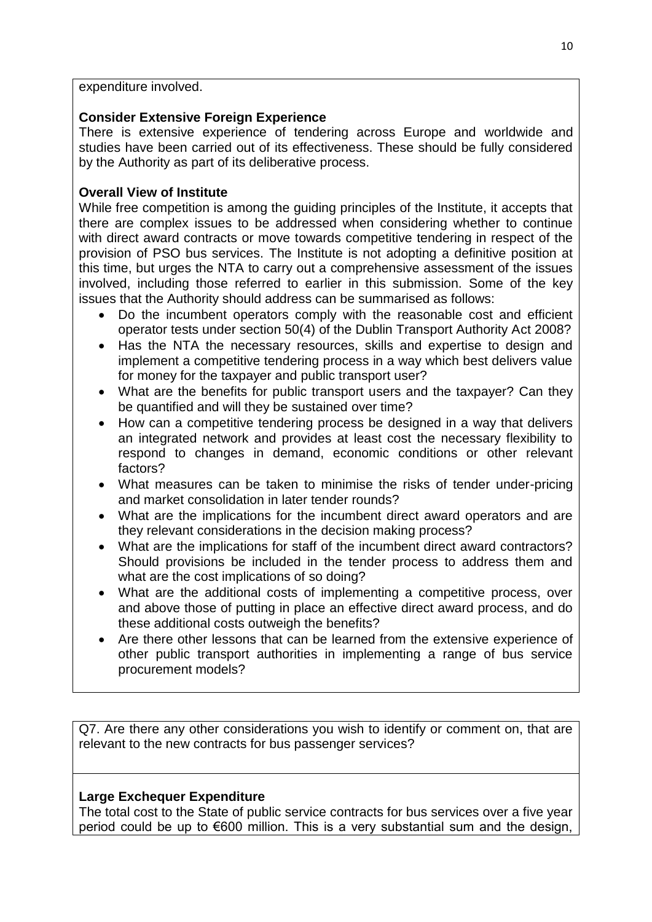expenditure involved.

# **Consider Extensive Foreign Experience**

There is extensive experience of tendering across Europe and worldwide and studies have been carried out of its effectiveness. These should be fully considered by the Authority as part of its deliberative process.

# **Overall View of Institute**

While free competition is among the guiding principles of the Institute, it accepts that there are complex issues to be addressed when considering whether to continue with direct award contracts or move towards competitive tendering in respect of the provision of PSO bus services. The Institute is not adopting a definitive position at this time, but urges the NTA to carry out a comprehensive assessment of the issues involved, including those referred to earlier in this submission. Some of the key issues that the Authority should address can be summarised as follows:

- Do the incumbent operators comply with the reasonable cost and efficient operator tests under section 50(4) of the Dublin Transport Authority Act 2008?
- Has the NTA the necessary resources, skills and expertise to design and implement a competitive tendering process in a way which best delivers value for money for the taxpayer and public transport user?
- What are the benefits for public transport users and the taxpayer? Can they be quantified and will they be sustained over time?
- How can a competitive tendering process be designed in a way that delivers an integrated network and provides at least cost the necessary flexibility to respond to changes in demand, economic conditions or other relevant factors?
- What measures can be taken to minimise the risks of tender under-pricing and market consolidation in later tender rounds?
- What are the implications for the incumbent direct award operators and are they relevant considerations in the decision making process?
- What are the implications for staff of the incumbent direct award contractors? Should provisions be included in the tender process to address them and what are the cost implications of so doing?
- What are the additional costs of implementing a competitive process, over and above those of putting in place an effective direct award process, and do these additional costs outweigh the benefits?
- Are there other lessons that can be learned from the extensive experience of other public transport authorities in implementing a range of bus service procurement models?

Q7. Are there any other considerations you wish to identify or comment on, that are relevant to the new contracts for bus passenger services?

# **Large Exchequer Expenditure**

The total cost to the State of public service contracts for bus services over a five year period could be up to €600 million. This is a very substantial sum and the design,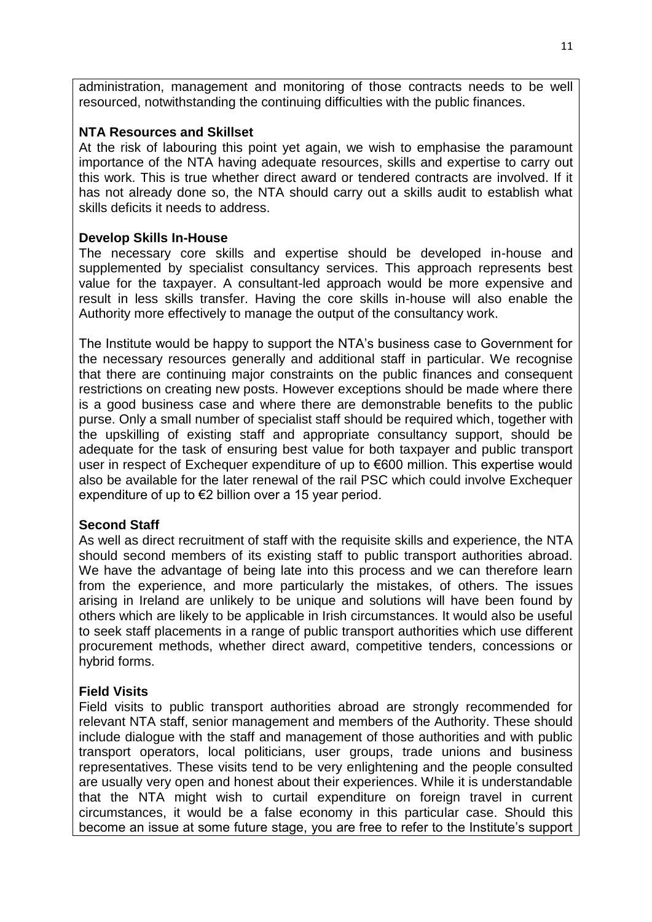administration, management and monitoring of those contracts needs to be well resourced, notwithstanding the continuing difficulties with the public finances.

### **NTA Resources and Skillset**

At the risk of labouring this point yet again, we wish to emphasise the paramount importance of the NTA having adequate resources, skills and expertise to carry out this work. This is true whether direct award or tendered contracts are involved. If it has not already done so, the NTA should carry out a skills audit to establish what skills deficits it needs to address.

# **Develop Skills In-House**

The necessary core skills and expertise should be developed in-house and supplemented by specialist consultancy services. This approach represents best value for the taxpayer. A consultant-led approach would be more expensive and result in less skills transfer. Having the core skills in-house will also enable the Authority more effectively to manage the output of the consultancy work.

The Institute would be happy to support the NTA's business case to Government for the necessary resources generally and additional staff in particular. We recognise that there are continuing major constraints on the public finances and consequent restrictions on creating new posts. However exceptions should be made where there is a good business case and where there are demonstrable benefits to the public purse. Only a small number of specialist staff should be required which, together with the upskilling of existing staff and appropriate consultancy support, should be adequate for the task of ensuring best value for both taxpayer and public transport user in respect of Exchequer expenditure of up to €600 million. This expertise would also be available for the later renewal of the rail PSC which could involve Exchequer expenditure of up to €2 billion over a 15 year period.

### **Second Staff**

As well as direct recruitment of staff with the requisite skills and experience, the NTA should second members of its existing staff to public transport authorities abroad. We have the advantage of being late into this process and we can therefore learn from the experience, and more particularly the mistakes, of others. The issues arising in Ireland are unlikely to be unique and solutions will have been found by others which are likely to be applicable in Irish circumstances. It would also be useful to seek staff placements in a range of public transport authorities which use different procurement methods, whether direct award, competitive tenders, concessions or hybrid forms.

# **Field Visits**

Field visits to public transport authorities abroad are strongly recommended for relevant NTA staff, senior management and members of the Authority. These should include dialogue with the staff and management of those authorities and with public transport operators, local politicians, user groups, trade unions and business representatives. These visits tend to be very enlightening and the people consulted are usually very open and honest about their experiences. While it is understandable that the NTA might wish to curtail expenditure on foreign travel in current circumstances, it would be a false economy in this particular case. Should this become an issue at some future stage, you are free to refer to the Institute's support